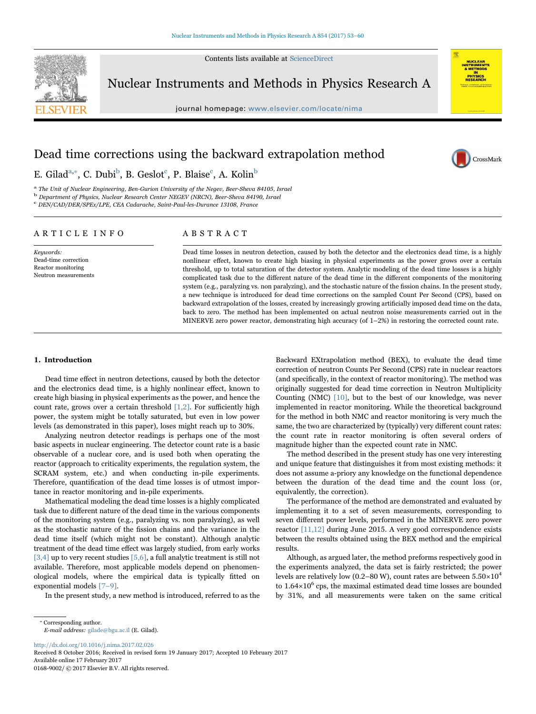Contents lists available at [ScienceDirect](http://www.sciencedirect.com/science/journal/01689002)



Nuclear Instruments and Methods in Physics Research A

journal homepage: [www.elsevier.com/locate/nima](http://www.elsevier.com/locate/nima)



CrossMark

# Dead time corrections using the backward extrapolation method

E. Gilad<sup>[a,](#page-0-0)\*</sup>, C. Du[b](#page-0-2)i<sup>b</sup>, B. Geslot<sup>c</sup>, P. Blaise<sup>c</sup>, A. Kolin<sup>b</sup>

<span id="page-0-0"></span><sup>a</sup> The Unit of Nuclear Engineering, Ben-Gurion University of the Negev, Beer-Sheva 84105, Israel

<span id="page-0-2"></span><sup>b</sup> Department of Physics, Nuclear Research Center NEGEV (NRCN), Beer-Sheva 84190, Israel

<span id="page-0-3"></span><sup>c</sup> DEN/CAD/DER/SPEx/LPE, CEA Cadarache, Saint-Paul-les-Durance 13108, France

# ARTICLE INFO

Keywords: Dead-time correction Reactor monitoring Neutron measurements

# ABSTRACT

Dead time losses in neutron detection, caused by both the detector and the electronics dead time, is a highly nonlinear effect, known to create high biasing in physical experiments as the power grows over a certain threshold, up to total saturation of the detector system. Analytic modeling of the dead time losses is a highly complicated task due to the different nature of the dead time in the different components of the monitoring system (e.g., paralyzing vs. non paralyzing), and the stochastic nature of the fission chains. In the present study, a new technique is introduced for dead time corrections on the sampled Count Per Second (CPS), based on backward extrapolation of the losses, created by increasingly growing artificially imposed dead time on the data, back to zero. The method has been implemented on actual neutron noise measurements carried out in the MINERVE zero power reactor, demonstrating high accuracy (of 1–2%) in restoring the corrected count rate.

# 1. Introduction

Dead time effect in neutron detections, caused by both the detector and the electronics dead time, is a highly nonlinear effect, known to create high biasing in physical experiments as the power, and hence the count rate, grows over a certain threshold  $[1,2]$ . For sufficiently high power, the system might be totally saturated, but even in low power levels (as demonstrated in this paper), loses might reach up to 30%.

Analyzing neutron detector readings is perhaps one of the most basic aspects in nuclear engineering. The detector count rate is a basic observable of a nuclear core, and is used both when operating the reactor (approach to criticality experiments, the regulation system, the SCRAM system, etc.) and when conducting in-pile experiments. Therefore, quantification of the dead time losses is of utmost importance in reactor monitoring and in-pile experiments.

Mathematical modeling the dead time losses is a highly complicated task due to different nature of the dead time in the various components of the monitoring system (e.g., paralyzing vs. non paralyzing), as well as the stochastic nature of the fission chains and the variance in the dead time itself (which might not be constant). Although analytic treatment of the dead time effect was largely studied, from early works [\[3,4\]](#page-6-1) up to very recent studies [\[5,6\],](#page-6-2) a full analytic treatment is still not available. Therefore, most applicable models depend on phenomenological models, where the empirical data is typically fitted on exponential models [7–[9\].](#page-6-3)

In the present study, a new method is introduced, referred to as the

Backward EXtrapolation method (BEX), to evaluate the dead time correction of neutron Counts Per Second (CPS) rate in nuclear reactors (and specifically, in the context of reactor monitoring). The method was originally suggested for dead time correction in Neutron Multiplicity Counting (NMC) [\[10\]](#page-6-4), but to the best of our knowledge, was never implemented in reactor monitoring. While the theoretical background for the method in both NMC and reactor monitoring is very much the same, the two are characterized by (typically) very different count rates: the count rate in reactor monitoring is often several orders of magnitude higher than the expected count rate in NMC.

The method described in the present study has one very interesting and unique feature that distinguishes it from most existing methods: it does not assume a-priory any knowledge on the functional dependence between the duration of the dead time and the count loss (or, equivalently, the correction).

The performance of the method are demonstrated and evaluated by implementing it to a set of seven measurements, corresponding to seven different power levels, performed in the MINERVE zero power reactor [\[11,12\]](#page-6-5) during June 2015. A very good correspondence exists between the results obtained using the BEX method and the empirical results.

Although, as argued later, the method preforms respectively good in the experiments analyzed, the data set is fairly restricted; the power levels are relatively low (0.2–80 W), count rates are between  $5.50\times10^4$ to  $1.64 \times 10^6$  cps, the maximal estimated dead time losses are bounded by 31%, and all measurements were taken on the same critical

<http://dx.doi.org/10.1016/j.nima.2017.02.026>

Received 8 October 2016; Received in revised form 19 January 2017; Accepted 10 February 2017 Available online 17 February 2017 0168-9002/ © 2017 Elsevier B.V. All rights reserved.

<span id="page-0-1"></span><sup>⁎</sup> Corresponding author. E-mail address: gilade@bgu.ac.il (E. Gilad).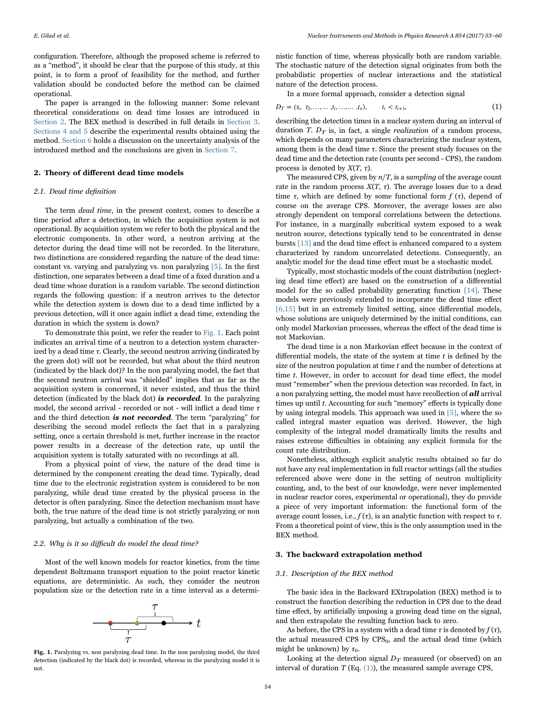configuration. Therefore, although the proposed scheme is referred to as a "method", it should be clear that the purpose of this study, at this point, is to form a proof of feasibility for the method, and further validation should be conducted before the method can be claimed operational.

The paper is arranged in the following manner: Some relevant theoretical considerations on dead time losses are introduced in [Section 2](#page-1-0). The BEX method is described in full details in [Section 3.](#page-1-1) [Sections 4 and 5](#page-2-0) describe the experimental results obtained using the method. [Section 6](#page-5-0) holds a discussion on the uncertainty analysis of the introduced method and the conclusions are given in [Section 7.](#page-6-6)

# <span id="page-1-0"></span>2. Theory of different dead time models

# 2.1. Dead time definition

The term dead time, in the present context, comes to describe a time period after a detection, in which the acquisition system is not operational. By acquisition system we refer to both the physical and the electronic components. In other word, a neutron arriving at the detector during the dead time will not be recorded. In the literature, two distinctions are considered regarding the nature of the dead time: constant vs. varying and paralyzing vs. non paralyzing  $[5]$ . In the first distinction, one separates between a dead time of a fixed duration and a dead time whose duration is a random variable. The second distinction regards the following question: if a neutron arrives to the detector while the detection system is down due to a dead time inflicted by a previous detection, will it once again inflict a dead time, extending the duration in which the system is down?

To demonstrate this point, we refer the reader to [Fig. 1.](#page-1-2) Each point indicates an arrival time of a neutron to a detection system characterized by a dead time  $\tau$ . Clearly, the second neutron arriving (indicated by the green dot) will not be recorded, but what about the third neutron (indicated by the black dot)? In the non paralyzing model, the fact that the second neutron arrival was "shielded" implies that as far as the acquisition system is concerned, it never existed, and thus the third detection (indicated by the black dot) is recorded. In the paralyzing model, the second arrival - recorded or not - will inflict a dead time  $\tau$ and the third detection is not recorded. The term "paralyzing" for describing the second model reflects the fact that in a paralyzing setting, once a certain threshold is met, further increase in the reactor power results in a decrease of the detection rate, up until the acquisition system is totally saturated with no recordings at all.

From a physical point of view, the nature of the dead time is determined by the component creating the dead time. Typically, dead time due to the electronic registration system is considered to be non paralyzing, while dead time created by the physical process in the detector is often paralyzing. Since the detection mechanism must have both, the true nature of the dead time is not strictly paralyzing or non paralyzing, but actually a combination of the two.

#### 2.2. Why is it so difficult do model the dead time?

Most of the well known models for reactor kinetics, from the time dependent Boltzmann transport equation to the point reactor kinetic equations, are deterministic. As such, they consider the neutron population size or the detection rate in a time interval as a determi-



<span id="page-1-2"></span>Fig. 1. Paralyzing vs. non paralyzing dead time. In the non paralyzing model, the third detection (indicated by the black dot) is recorded, whereas in the paralyzing model it is not.

nistic function of time, whereas physically both are random variable. The stochastic nature of the detection signal originates from both the probabilistic properties of nuclear interactions and the statistical nature of the detection process.

<span id="page-1-3"></span>In a more formal approach, consider a detection signal

$$
D_T = (t_1, t_2, \dots, t_i, \dots, t_n), \qquad t_i < t_{i+1}, \tag{1}
$$

describing the detection times in a nuclear system during an interval of duration T.  $D_T$  is, in fact, a single *realization* of a random process, which depends on many parameters characterizing the nuclear system, among them is the dead time  $\tau$ . Since the present study focuses on the dead time and the detection rate (counts per second - CPS), the random process is denoted by  $X(T, \tau)$ .

The measured CPS, given by  $n/T$ , is a sampling of the average count rate in the random process  $X(T, \tau)$ . The average losses due to a dead time  $\tau$ , which are defined by some functional form  $f(\tau)$ , depend of course on the average CPS. Moreover, the average losses are also strongly dependent on temporal correlations between the detections. For instance, in a marginally subcritical system exposed to a weak neutron source, detections typically tend to be concentrated in dense bursts [\[13\]](#page-7-0) and the dead time effect is enhanced compared to a system characterized by random uncorrelated detections. Consequently, an analytic model for the dead time effect must be a stochastic model.

Typically, most stochastic models of the count distribution (neglecting dead time effect) are based on the construction of a differential model for the so called probability generating function [\[14\].](#page-7-1) These models were previously extended to incorporate the dead time effect [\[6,15\]](#page-6-7) but in an extremely limited setting, since differential models, whose solutions are uniquely determined by the initial conditions, can only model Markovian processes, whereas the effect of the dead time is not Markovian.

The dead time is a non Markovian effect because in the context of differential models, the state of the system at time  $t$  is defined by the size of the neutron population at time  $t$  and the number of detections at time *t*. However, in order to account for dead time effect, the model must "remember" when the previous detection was recorded. In fact, in a non paralyzing setting, the model must have recollection of  $all$  arrival times up until t. Accounting for such "memory" effects is typically done by using integral models. This approach was used in [\[5\]](#page-6-2), where the so called integral master equation was derived. However, the high complexity of the integral model dramatically limits the results and raises extreme difficulties in obtaining any explicit formula for the count rate distribution.

Nonetheless, although explicit analytic results obtained so far do not have any real implementation in full reactor settings (all the studies referenced above were done in the setting of neutron multiplicity counting, and, to the best of our knowledge, were never implemented in nuclear reactor cores, experimental or operational), they do provide a piece of very important information: the functional form of the average count losses, i.e.,  $f(τ)$ , is an analytic function with respect to  $τ$ . From a theoretical point of view, this is the only assumption used in the BEX method.

#### <span id="page-1-1"></span>3. The backward extrapolation method

#### 3.1. Description of the BEX method

The basic idea in the Backward EXtrapolation (BEX) method is to construct the function describing the reduction in CPS due to the dead time effect, by artificially imposing a growing dead time on the signal, and then extrapolate the resulting function back to zero.

As before, the CPS in a system with a dead time  $\tau$  is denoted by  $f(\tau)$ , the actual measured CPS by  $CPS_0$ , and the actual dead time (which might be unknown) by  $\tau_0$ .

Looking at the detection signal  $D_T$  measured (or observed) on an interval of duration  $T$  (Eq.  $(1)$ ), the measured sample average CPS,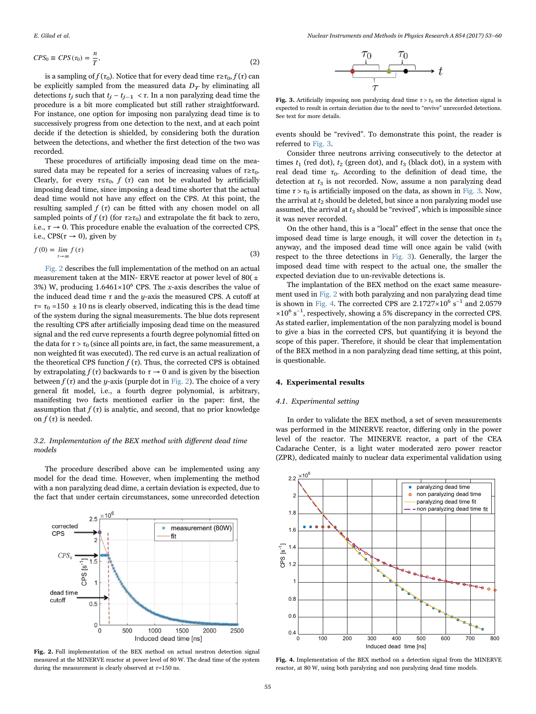$$
CPS_0 \equiv CPS(\tau_0) = \frac{n}{T},\tag{2}
$$

is a sampling of  $f(\tau_0)$ . Notice that for every dead time  $\tau \geq \tau_0$ ,  $f(\tau)$  can be explicitly sampled from the measured data  $D_T$  by eliminating all detections  $t_j$  such that  $t_j - t_{j-1} < \tau$ . In a non paralyzing dead time the procedure is a bit more complicated but still rather straightforward. For instance, one option for imposing non paralyzing dead time is to successively progress from one detection to the next, and at each point decide if the detection is shielded, by considering both the duration between the detections, and whether the first detection of the two was recorded.

These procedures of artificially imposing dead time on the measured data may be repeated for a series of increasing values of  $\tau \geq \tau_0$ . Clearly, for every  $\tau \leq \tau_0$ ,  $f(\tau)$  can not be evaluated by artificially imposing dead time, since imposing a dead time shorter that the actual dead time would not have any effect on the CPS. At this point, the resulting sampled  $f(\tau)$  can be fitted with any chosen model on all sampled points of  $f(\tau)$  (for  $\tau \geq \tau_0$ ) and extrapolate the fit back to zero, i.e.,  $\tau \rightarrow 0$ . This procedure enable the evaluation of the corrected CPS, i.e., CPS( $\tau \rightarrow 0$ ), given by

$$
f(0) = \lim_{\tau \to \infty} f(\tau) \tag{3}
$$

[Fig. 2](#page-2-1) describes the full implementation of the method on an actual measurement taken at the MIN- ERVE reactor at power level of 80(  $\pm$ 3%) W, producing  $1.6461 \times 10^6$  CPS. The x-axis describes the value of the induced dead time  $\tau$  and the y-axis the measured CPS. A cutoff at  $\tau = \tau_0 = 150 \pm 10$  ns is clearly observed, indicating this is the dead time of the system during the signal measurements. The blue dots represent the resulting CPS after artificially imposing dead time on the measured signal and the red curve represents a fourth degree polynomial fitted on the data for  $\tau > \tau_0$  (since all points are, in fact, the same measurement, a non weighted fit was executed). The red curve is an actual realization of the theoretical CPS function  $f(\tau)$ . Thus, the corrected CPS is obtained by extrapolating  $f(\tau)$  backwards to  $\tau \to 0$  and is given by the bisection between  $f(\tau)$  and the *y*-axis (purple dot in [Fig. 2](#page-2-1)). The choice of a very general fit model, i.e., a fourth degree polynomial, is arbitrary, manifesting two facts mentioned earlier in the paper: first, the assumption that  $f(\tau)$  is analytic, and second, that no prior knowledge on  $f(\tau)$  is needed.

# 3.2. Implementation of the BEX method with different dead time models

The procedure described above can be implemented using any model for the dead time. However, when implementing the method with a non paralyzing dead dime, a certain deviation is expected, due to the fact that under certain circumstances, some unrecorded detection

<span id="page-2-1"></span>

Fig. 2. Full implementation of the BEX method on actual neutron detection signal measured at the MINERVE reactor at power level of 80 W. The dead time of the system during the measurement is clearly observed at  $\tau$ =150 ns.

$$
\begin{array}{c}\n\tau_0 & \tau_0 \\
\hline\n\end{array}
$$

<span id="page-2-2"></span>Fig. 3. Artificially imposing non paralyzing dead time  $\tau > \tau_0$  on the detection signal is expected to result in certain deviation due to the need to "revive" unrecorded detections. See text for more details.

events should be "revived". To demonstrate this point, the reader is referred to [Fig. 3.](#page-2-2)

Consider three neutrons arriving consecutively to the detector at times  $t_1$  (red dot),  $t_2$  (green dot), and  $t_3$  (black dot), in a system with real dead time  $\tau_0$ . According to the definition of dead time, the detection at  $t_3$  is not recorded. Now, assume a non paralyzing dead time  $\tau > \tau_0$  is artificially imposed on the data, as shown in [Fig. 3.](#page-2-2) Now, the arrival at  $t_2$  should be deleted, but since a non paralyzing model use assumed, the arrival at  $t_3$  should be "revived", which is impossible since it was never recorded.

On the other hand, this is a "local" effect in the sense that once the imposed dead time is large enough, it will cover the detection in  $t_3$ anyway, and the imposed dead time will once again be valid (with respect to the three detections in [Fig. 3](#page-2-2)). Generally, the larger the imposed dead time with respect to the actual one, the smaller the expected deviation due to un-revivable detections is.

The implantation of the BEX method on the exact same measurement used in [Fig. 2](#page-2-1) with both paralyzing and non paralyzing dead time is shown in [Fig. 4](#page-2-3). The corrected CPS are  $2.1727 \times 10^6$  s<sup>-1</sup> and 2.0579 ×10<sup>6</sup> s −1 , respectively, showing a 5% discrepancy in the corrected CPS. As stated earlier, implementation of the non paralyzing model is bound to give a bias in the corrected CPS, but quantifying it is beyond the scope of this paper. Therefore, it should be clear that implementation of the BEX method in a non paralyzing dead time setting, at this point, is questionable.

#### <span id="page-2-0"></span>4. Experimental results

#### <span id="page-2-4"></span>4.1. Experimental setting

In order to validate the BEX method, a set of seven measurements was performed in the MINERVE reactor, differing only in the power level of the reactor. The MINERVE reactor, a part of the CEA Cadarache Center, is a light water moderated zero power reactor (ZPR), dedicated mainly to nuclear data experimental validation using

<span id="page-2-3"></span>

Fig. 4. Implementation of the BEX method on a detection signal from the MINERVE reactor, at 80 W, using both paralyzing and non paralyzing dead time models.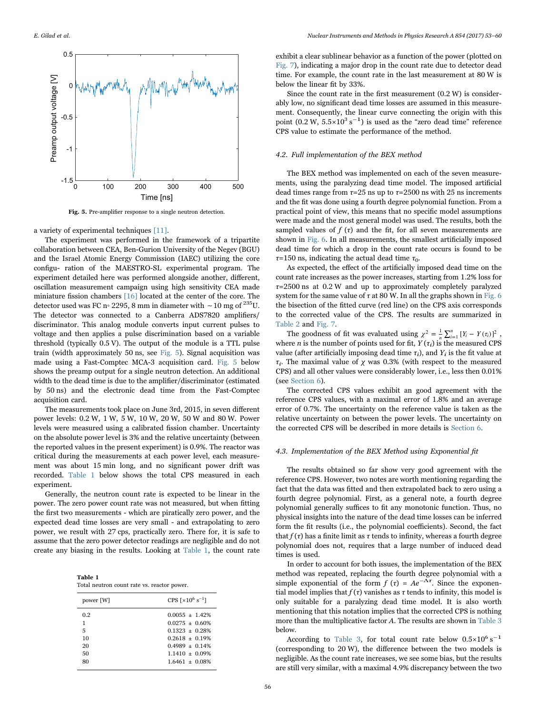<span id="page-3-0"></span>

Fig. 5. Pre-amplifier response to a single neutron detection.

a variety of experimental techniques [\[11\].](#page-6-5)

The experiment was performed in the framework of a tripartite collaboration between CEA, Ben-Gurion University of the Negev (BGU) and the Israel Atomic Energy Commission (IAEC) utilizing the core configu- ration of the MAESTRO-SL experimental program. The experiment detailed here was performed alongside another, different, oscillation measurement campaign using high sensitivity CEA made miniature fission chambers [\[16\]](#page-7-2) located at the center of the core. The detector used was FC n◦ 2295, 8 mm in diameter with ∼10 mg of 235U. The detector was connected to a Canberra ADS7820 amplifiers/ discriminator. This analog module converts input current pulses to voltage and then applies a pulse discrimination based on a variable threshold (typically 0.5 V). The output of the module is a TTL pulse train (width approximately 50 ns, see [Fig. 5](#page-3-0)). Signal acquisition was made using a Fast-Comptec MCA-3 acquisition card. [Fig. 5](#page-3-0) below shows the preamp output for a single neutron detection. An additional width to the dead time is due to the amplifier/discriminator (estimated by 50 ns) and the electronic dead time from the Fast-Comptec acquisition card.

The measurements took place on June 3rd, 2015, in seven different power levels: 0.2 W, 1 W, 5 W, 10 W, 20 W, 50 W and 80 W. Power levels were measured using a calibrated fission chamber. Uncertainty on the absolute power level is 3% and the relative uncertainty (between the reported values in the present experiment) is 0.9%. The reactor was critical during the measurements at each power level, each measurement was about 15 min long, and no significant power drift was recorded. [Table 1](#page-3-1) below shows the total CPS measured in each experiment.

Generally, the neutron count rate is expected to be linear in the power. The zero power count rate was not measured, but when fitting the first two measurements - which are piratically zero power, and the expected dead time losses are very small - and extrapolating to zero power, we result with 27 cps, practically zero. There for, it is safe to assume that the zero power detector readings are negligible and do not create any biasing in the results. Looking at [Table 1](#page-3-1), the count rate

<span id="page-3-1"></span>Table 1 Total neutron count rate vs. reactor power.

| power [W] | CPS $\lceil x10^6 \text{ s}^{-1}\rceil$ |  |  |
|-----------|-----------------------------------------|--|--|
| 0.2       | $0.0055 + 1.42\%$                       |  |  |
| 1         | $0.0275 + 0.60\%$                       |  |  |
| 5         | $0.1323 + 0.28%$                        |  |  |
| 10        | $0.2618 + 0.19%$                        |  |  |
| 20        | $0.4989 + 0.14%$                        |  |  |
| 50        | $1.1410 + 0.09\%$                       |  |  |
| 80        | $1.6461 + 0.08\%$                       |  |  |

exhibit a clear sublinear behavior as a function of the power (plotted on [Fig. 7\)](#page-5-1), indicating a major drop in the count rate due to detector dead time. For example, the count rate in the last measurement at 80 W is below the linear fit by 33%.

Since the count rate in the first measurement (0.2 W) is considerably low, no significant dead time losses are assumed in this measurement. Consequently, the linear curve connecting the origin with this point (0.2 W,  $5.5 \times 10^{3}$  s<sup>-1</sup>) is used as the "zero dead time" reference CPS value to estimate the performance of the method.

#### 4.2. Full implementation of the BEX method

The BEX method was implemented on each of the seven measurements, using the paralyzing dead time model. The imposed artificial dead times range from  $\tau$ =25 ns up to  $\tau$ =2500 ns with 25 ns increments and the fit was done using a fourth degree polynomial function. From a practical point of view, this means that no specific model assumptions were made and the most general model was used. The results, both the sampled values of  $f(\tau)$  and the fit, for all seven measurements are shown in [Fig. 6.](#page-4-0) In all measurements, the smallest artificially imposed dead time for which a drop in the count rate occurs is found to be  $\tau$ =150 ns, indicating the actual dead time  $\tau_0$ .

As expected, the effect of the artificially imposed dead time on the count rate increases as the power increases, starting from 1.2% loss for  $\tau$ =2500 ns at 0.2 W and up to approximately completely paralyzed system for the same value of  $\tau$  at 80 W. In all the graphs shown in [Fig. 6](#page-4-0) the bisection of the fitted curve (red line) on the CPS axis corresponds to the corrected value of the CPS. The results are summarized in [Table 2](#page-5-2) and [Fig. 7](#page-5-1).

The goodness of fit was evaluated using  $\chi^2 = \frac{1}{n} \sum_{i=1}^n [Y_i - Y(\tau_i)]^2$ , where *n* is the number of points used for fit,  $Y(\tau_i)$  is the measured CPS value (after artificially imposing dead time  $\tau_i$ ), and  $Y_i$  is the fit value at  $\tau_i$ . The maximal value of  $\chi$  was 0.3% (with respect to the measured CPS) and all other values were considerably lower, i.e., less then 0.01% (see [Section 6\)](#page-5-0).

The corrected CPS values exhibit an good agreement with the reference CPS values, with a maximal error of 1.8% and an average error of 0.7%. The uncertainty on the reference value is taken as the relative uncertainty on between the power levels. The uncertainty on the corrected CPS will be described in more details is [Section 6.](#page-5-0)

#### 4.3. Implementation of the BEX Method using Exponential fit

The results obtained so far show very good agreement with the reference CPS. However, two notes are worth mentioning regarding the fact that the data was fitted and then extrapolated back to zero using a fourth degree polynomial. First, as a general note, a fourth degree polynomial generally suffices to fit any monotonic function. Thus, no physical insights into the nature of the dead time losses can be inferred form the fit results (i.e., the polynomial coefficients). Second, the fact that  $f(\tau)$  has a finite limit as  $\tau$  tends to infinity, whereas a fourth degree polynomial does not, requires that a large number of induced dead times is used.

In order to account for both issues, the implementation of the BEX method was repeated, replacing the fourth degree polynomial with a simple exponential of the form  $f(\tau) = Ae^{-\Lambda \tau}$ . Since the exponential model implies that  $f(\tau)$  vanishes as  $\tau$  tends to infinity, this model is only suitable for a paralyzing dead time model. It is also worth mentioning that this notation implies that the corrected CPS is nothing more than the multiplicative factor A. The results are shown in [Table 3](#page-5-3) below.

According to [Table 3,](#page-5-3) for total count rate below  $0.5 \times 10^6$  s<sup>-1</sup> (corresponding to 20 W), the difference between the two models is negligible. As the count rate increases, we see some bias, but the results are still very similar, with a maximal 4.9% discrepancy between the two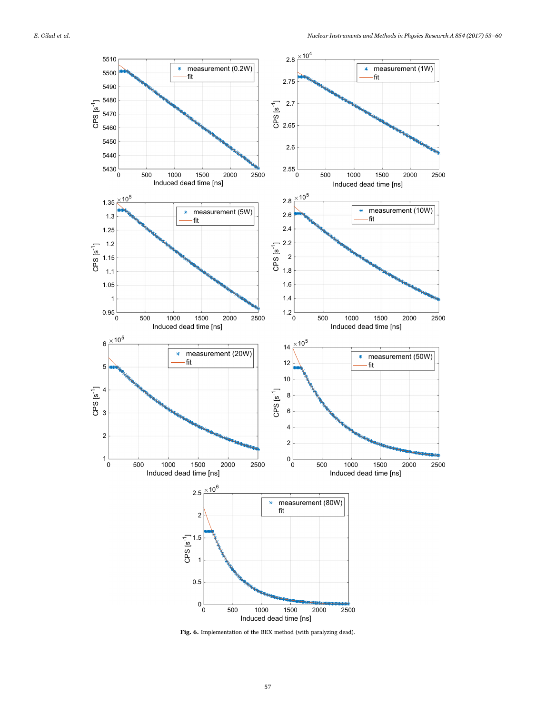<span id="page-4-0"></span>

Fig. 6. Implementation of the BEX method (with paralyzing dead).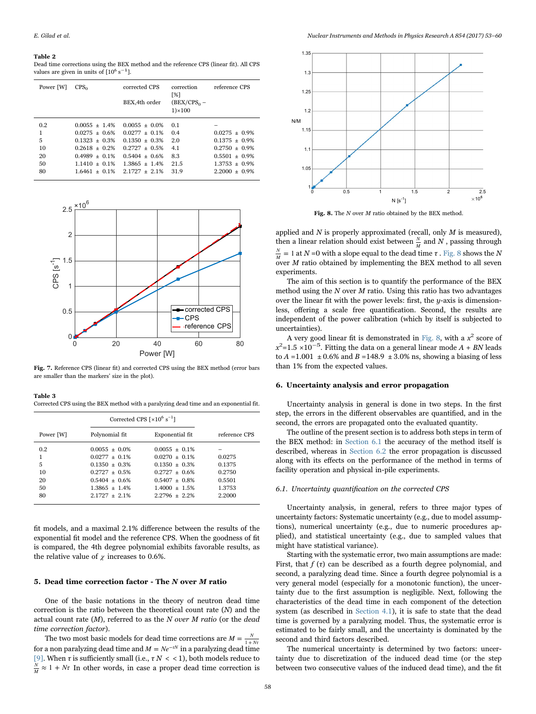#### <span id="page-5-2"></span>Table 2

Dead time corrections using the BEX method and the reference CPS (linear fit). All CPS values are given in units of  $[10^6 \text{ s}^{-1}]$ .

| Power [W]     | $CPS_0$                                               | corrected CPS<br>BEX, 4th order                        | correction<br>[%]<br>$(BEX/CPS_0 -$<br>$1) \times 100$ | reference CPS                        |
|---------------|-------------------------------------------------------|--------------------------------------------------------|--------------------------------------------------------|--------------------------------------|
| 0.2<br>1<br>5 | $0.0055 + 1.4%$<br>$0.0275 + 0.6%$<br>$0.1323 + 0.3%$ | $0.0055 + 0.0%$<br>$0.0277 + 0.1\%$<br>$0.1350 + 0.3%$ | 0.1<br>0.4<br>2.0                                      | $0.0275 + 0.9\%$<br>$0.1375 + 0.9\%$ |
| 10            | $0.2618 + 0.2%$                                       | $0.2727 + 0.5%$                                        | 4.1                                                    | $0.2750 + 0.9\%$                     |
| 20            | $0.4989 + 0.1\%$                                      | $0.5404 + 0.6%$                                        | 8.3                                                    | $0.5501 + 0.9\%$                     |
| 50            | $1.1410 + 0.1\%$                                      | $1.3865 + 1.4%$                                        | 21.5                                                   | $1.3753 + 0.9%$                      |
| 80            | $1.6461 + 0.1\%$                                      | $2.1727 + 2.1\%$                                       | 31.9                                                   | $2.2000 + 0.9\%$                     |

<span id="page-5-1"></span>

Fig. 7. Reference CPS (linear fit) and corrected CPS using the BEX method (error bars are smaller than the markers' size in the plot).

<span id="page-5-3"></span>Table 3 Corrected CPS using the BEX method with a paralyzing dead time and an exponential fit.

|                                       | Corrected CPS $\lceil \times 10^6 \text{ s}^{-1} \rceil$                                                                                   |                                                                                                                                       |                                                          |
|---------------------------------------|--------------------------------------------------------------------------------------------------------------------------------------------|---------------------------------------------------------------------------------------------------------------------------------------|----------------------------------------------------------|
| Power [W]                             | Polynomial fit                                                                                                                             | Exponential fit                                                                                                                       | reference CPS                                            |
| 0.2<br>1<br>5<br>10<br>20<br>50<br>80 | $0.0055 + 0.0%$<br>$0.0277 + 0.1\%$<br>$0.1350 \pm 0.3\%$<br>$0.2727 + 0.5\%$<br>$0.5404 + 0.6%$<br>$1.3865 \pm 1.4\%$<br>$2.1727 + 2.1\%$ | $0.0055 + 0.1\%$<br>$0.0270 + 0.1\%$<br>$0.1350 + 0.3%$<br>$0.2727 + 0.6%$<br>$0.5407 + 0.8\%$<br>$1.4000 + 1.5\%$<br>$2.2796 + 2.2%$ | 0.0275<br>0.1375<br>0.2750<br>0.5501<br>1.3753<br>2.2000 |

fit models, and a maximal 2.1% difference between the results of the exponential fit model and the reference CPS. When the goodness of fit is compared, the 4th degree polynomial exhibits favorable results, as the relative value of  $\chi$  increases to 0.6%.

## 5. Dead time correction factor - The N over M ratio

One of the basic notations in the theory of neutron dead time correction is the ratio between the theoretical count rate (N) and the actual count rate  $(M)$ , referred to as the N over M ratio (or the dead time correction factor).

The two most basic models for dead time corrections are  $M = \frac{N}{1 + Nt}$ for a non paralyzing dead time and  $M = Ne^{-\tau N}$  in a paralyzing dead time [\[9\]](#page-6-8). When  $\tau$  is sufficiently small (i.e.,  $\tau N <$  < 1), both models reduce to  $\frac{N}{M} \approx 1 + N\tau$  In other words, in case a proper dead time correction is



<span id="page-5-4"></span>

Fig. 8. The  $N$  over  $M$  ratio obtained by the BEX method.

applied and  $N$  is properly approximated (recall, only  $M$  is measured), then a linear relation should exist between  $\frac{N}{M}$  and N, passing through  $\frac{N}{M}$  = 1 at N = 0 with a slope equal to the dead time  $\tau$ . [Fig. 8](#page-5-4) shows the N over  $M$  ratio obtained by implementing the BEX method to all seven experiments.

The aim of this section is to quantify the performance of the BEX method using the  $N$  over  $M$  ratio. Using this ratio has two advantages over the linear fit with the power levels: first, the  $y$ -axis is dimensionless, offering a scale free quantification. Second, the results are independent of the power calibration (which by itself is subjected to uncertainties).

A very good linear fit is demonstrated in [Fig. 8](#page-5-4), with a  $x^2$  score of  $x^2$ =1.5 ×10<sup>-5</sup>. Fitting the data on a general linear mode A + BN leads to  $A = 1.001 \pm 0.6\%$  and  $B = 148.9 \pm 3.0\%$  ns, showing a biasing of less than 1% from the expected values.

# <span id="page-5-0"></span>6. Uncertainty analysis and error propagation

Uncertainty analysis in general is done in two steps. In the first step, the errors in the different observables are quantified, and in the second, the errors are propagated onto the evaluated quantity.

The outline of the present section is to address both steps in term of the BEX method: in [Section 6.1](#page-5-5) the accuracy of the method itself is described, whereas in [Section 6.2](#page-6-9) the error propagation is discussed along with its effects on the performance of the method in terms of facility operation and physical in-pile experiments.

#### <span id="page-5-5"></span>6.1. Uncertainty quantification on the corrected CPS

Uncertainty analysis, in general, refers to three major types of uncertainty factors: Systematic uncertainty (e.g., due to model assumptions), numerical uncertainty (e.g., due to numeric procedures applied), and statistical uncertainty (e.g., due to sampled values that might have statistical variance).

Starting with the systematic error, two main assumptions are made: First, that  $f(\tau)$  can be described as a fourth degree polynomial, and second, a paralyzing dead time. Since a fourth degree polynomial is a very general model (especially for a monotonic function), the uncertainty due to the first assumption is negligible. Next, following the characteristics of the dead time in each component of the detection system (as described in [Section 4.1\)](#page-2-4), it is safe to state that the dead time is governed by a paralyzing model. Thus, the systematic error is estimated to be fairly small, and the uncertainty is dominated by the second and third factors described.

The numerical uncertainty is determined by two factors: uncertainty due to discretization of the induced dead time (or the step between two consecutive values of the induced dead time), and the fit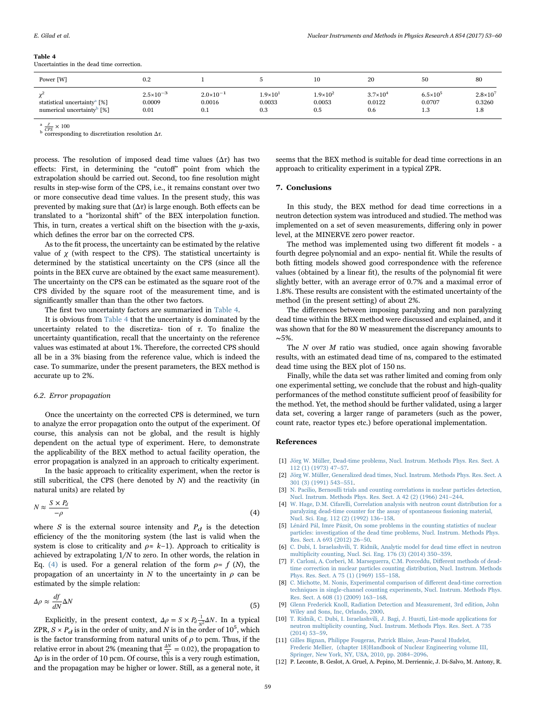<span id="page-6-10"></span>

| Table 4      |  |  |  |  |
|--------------|--|--|--|--|
| $\mathbf{r}$ |  |  |  |  |

Uncertainties in the dead time correction.

| Power [W]                                                                          | 0.2                                    |                                     |                                    | 10                                 | 20                                   | 50                                 | 80                                 |
|------------------------------------------------------------------------------------|----------------------------------------|-------------------------------------|------------------------------------|------------------------------------|--------------------------------------|------------------------------------|------------------------------------|
| statistical uncertainty <sup>a</sup> [%]<br>numerical uncertainty <sup>b</sup> [%] | $2.5 \times 10^{-3}$<br>0.0009<br>0.01 | $2.0\times10^{-1}$<br>0.0016<br>0.1 | $1.9\times10^{1}$<br>0.0033<br>0.3 | $1.9\times10^{2}$<br>0.0053<br>0.5 | $3.7 \times 10^{4}$<br>0.0122<br>0.6 | $6.5\times10^{5}$<br>0.0707<br>1.3 | $2.8 \times 10^7$<br>0.3260<br>1.8 |

 $\frac{\chi}{CPS} \times 100$ 

<sup>b</sup> corresponding to discretization resolution  $\Delta \tau$ .

process. The resolution of imposed dead time values  $(\Delta \tau)$  has two effects: First, in determining the "cutoff" point from which the extrapolation should be carried out. Second, too fine resolution might results in step-wise form of the CPS, i.e., it remains constant over two or more consecutive dead time values. In the present study, this was prevented by making sure that  $(\Delta \tau)$  is large enough. Both effects can be translated to a "horizontal shift" of the BEX interpolation function. This, in turn, creates a vertical shift on the bisection with the  $y$ -axis, which defines the error bar on the corrected CPS.

As to the fit process, the uncertainty can be estimated by the relative value of  $χ$  (with respect to the CPS). The statistical uncertainty is determined by the statistical uncertainty on the CPS (since all the points in the BEX curve are obtained by the exact same measurement). The uncertainty on the CPS can be estimated as the square root of the CPS divided by the square root of the measurement time, and is significantly smaller than than the other two factors.

The first two uncertainty factors are summarized in [Table 4.](#page-6-10)

It is obvious from [Table 4](#page-6-10) that the uncertainty is dominated by the uncertainty related to the discretiza- tion of  $\tau$ . To finalize the uncertainty quantification, recall that the uncertainty on the reference values was estimated at about 1%. Therefore, the corrected CPS should all be in a 3% biasing from the reference value, which is indeed the case. To summarize, under the present parameters, the BEX method is accurate up to 2%.

#### <span id="page-6-9"></span>6.2. Error propagation

Once the uncertainty on the corrected CPS is determined, we turn to analyze the error propagation onto the output of the experiment. Of course, this analysis can not be global, and the result is highly dependent on the actual type of experiment. Here, to demonstrate the applicability of the BEX method to actual facility operation, the error propagation is analyzed in an approach to criticalty experiment.

<span id="page-6-11"></span>In the basic approach to criticality experiment, when the rector is still subcritical, the CPS (here denoted by  $N$ ) and the reactivity (in natural units) are related by

$$
N \approx \frac{S \times P_d}{-\rho} \tag{4}
$$

where  $S$  is the external source intensity and  $P_d$  is the detection efficiency of the the monitoring system (the last is valid when the system is close to criticality and  $\rho \approx k-1$ ). Approach to criticality is achieved by extrapolating  $1/N$  to zero. In other words, the relation in Eq. [\(4\)](#page-6-11) is used. For a general relation of the form  $\rho = f(N)$ , the propagation of an uncertainty in N to the uncertainty in  $\rho$  can be estimated by the simple relation:

$$
\Delta \rho \approx \frac{df}{dN} \Delta N \tag{5}
$$

Explicitly, in the present context,  $\Delta \rho = S \times P_d \frac{1}{N^2} \Delta N$ . In a typical ZPR,  $S \times P_d$  is in the order of unity, and N is in the order of  $10^5$ , which is the factor transforming from natural units of  $\rho$  to pcm. Thus, if the relative error in about 2% (meaning that  $\frac{\Delta N}{N} = 0.02$ ), the propagation to  $\Delta \rho$  is in the order of 10 pcm. Of course, this is a very rough estimation, and the propagation may be higher or lower. Still, as a general note, it seems that the BEX method is suitable for dead time corrections in an approach to criticality experiment in a typical ZPR.

#### <span id="page-6-6"></span>7. Conclusions

In this study, the BEX method for dead time corrections in a neutron detection system was introduced and studied. The method was implemented on a set of seven measurements, differing only in power level, at the MINERVE zero power reactor.

The method was implemented using two different fit models - a fourth degree polynomial and an expo- nential fit. While the results of both fitting models showed good correspondence with the reference values (obtained by a linear fit), the results of the polynomial fit were slightly better, with an average error of 0.7% and a maximal error of 1.8%. These results are consistent with the estimated uncertainty of the method (in the present setting) of about 2%.

The differences between imposing paralyzing and non paralyzing dead time within the BEX method were discussed and explained, and it was shown that for the 80 W measurement the discrepancy amounts to ∼5%.

The N over M ratio was studied, once again showing favorable results, with an estimated dead time of ns, compared to the estimated dead time using the BEX plot of 150 ns.

Finally, while the data set was rather limited and coming from only one experimental setting, we conclude that the robust and high-quality performances of the method constitute sufficient proof of feasibility for the method. Yet, the method should be further validated, using a larger data set, covering a larger range of parameters (such as the power, count rate, reactor types etc.) before operational implementation.

#### References

- <span id="page-6-0"></span>[1] [Jörg W. Müller, Dead-time problems, Nucl. Instrum. Methods Phys. Res. Sect. A](http://refhub.elsevier.com/S0168-9002(17)30210-3/sbref1) [112 \(1\) \(1973\) 47](http://refhub.elsevier.com/S0168-9002(17)30210-3/sbref1)–57.
- [2] [Jörg W. Müller, Generalized dead times, Nucl. Instrum. Methods Phys. Res. Sect. A](http://refhub.elsevier.com/S0168-9002(17)30210-3/sbref2) [301 \(3\) \(1991\) 543](http://refhub.elsevier.com/S0168-9002(17)30210-3/sbref2)–551.
- <span id="page-6-1"></span>[3] [N. Pacilio, Bernoulli trials and counting correlations in nuclear particles detection,](http://refhub.elsevier.com/S0168-9002(17)30210-3/sbref3) [Nucl. Instrum. Methods Phys. Res. Sect. A 42 \(2\) \(1966\) 241](http://refhub.elsevier.com/S0168-9002(17)30210-3/sbref3)–244.
- [W. Hage, D.M. Cifarelli, Correlation analysis with neutron count distribution for a](http://refhub.elsevier.com/S0168-9002(17)30210-3/sbref4) [paralyzing dead-time counter for the assay of spontaneous](http://refhub.elsevier.com/S0168-9002(17)30210-3/sbref4) fissioning material, [Nucl. Sci. Eng. 112 \(2\) \(1992\) 136](http://refhub.elsevier.com/S0168-9002(17)30210-3/sbref4)–158.
- <span id="page-6-2"></span>[5] [Lénárd Pál, Imre Pázsit, On some problems in the counting statistics of nuclear](http://refhub.elsevier.com/S0168-9002(17)30210-3/sbref5) [particles: investigation of the dead time problems, Nucl. Instrum. Methods Phys.](http://refhub.elsevier.com/S0168-9002(17)30210-3/sbref5) [Res. Sect. A 693 \(2012\) 26](http://refhub.elsevier.com/S0168-9002(17)30210-3/sbref5)–50.
- <span id="page-6-7"></span>[6] [C. Dubi, I. Israelashvili, T. Ridnik, Analytic model for dead time e](http://refhub.elsevier.com/S0168-9002(17)30210-3/sbref6)ffect in neutron [multiplicity counting, Nucl. Sci. Eng. 176 \(3\) \(2014\) 350](http://refhub.elsevier.com/S0168-9002(17)30210-3/sbref6)–359.
- <span id="page-6-3"></span>[7] [F. Carloni, A. Corberi, M. Marseguerra, C.M. Porceddu, Di](http://refhub.elsevier.com/S0168-9002(17)30210-3/sbref7)fferent methods of dead[time correction in nuclear particles counting distribution, Nucl. Instrum. Methods](http://refhub.elsevier.com/S0168-9002(17)30210-3/sbref7) [Phys. Res. Sect. A 75 \(1\) \(1969\) 155](http://refhub.elsevier.com/S0168-9002(17)30210-3/sbref7)–158.
- [8] [C. Michotte, M. Nonis, Experimental comparison of di](http://refhub.elsevier.com/S0168-9002(17)30210-3/sbref8)fferent dead-time correction [techniques in single-channel counting experiments, Nucl. Instrum. Methods Phys.](http://refhub.elsevier.com/S0168-9002(17)30210-3/sbref8) [Res. Sect. A 608 \(1\) \(2009\) 163](http://refhub.elsevier.com/S0168-9002(17)30210-3/sbref8)–168.
- <span id="page-6-8"></span>[9] [Glenn Frederick Knoll, Radiation Detection and Measurement, 3rd edition, John](http://refhub.elsevier.com/S0168-9002(17)30210-3/sbref9) [Wiley and Sons, Inc, Orlando, 2000.](http://refhub.elsevier.com/S0168-9002(17)30210-3/sbref9)
- <span id="page-6-4"></span>[10] [T. Ridnik, C. Dubi, I. Israelashvili, J. Bagi, J. Huszti, List-mode applications for](http://refhub.elsevier.com/S0168-9002(17)30210-3/sbref10) [neutron multiplicity counting, Nucl. Instrum. Methods Phys. Res. Sect. A 735](http://refhub.elsevier.com/S0168-9002(17)30210-3/sbref10) [\(2014\) 53](http://refhub.elsevier.com/S0168-9002(17)30210-3/sbref10)–59.
- <span id="page-6-5"></span>[11] [Gilles Bignan, Philippe Fougeras, Patrick Blaise, Jean-Pascal Hudelot,](http://refhub.elsevier.com/S0168-9002(17)30210-3/sbref11) [Frederic Mellier, \(chapter 18\)Handbook of Nuclear Engineering volume III,](http://refhub.elsevier.com/S0168-9002(17)30210-3/sbref11) [Springer, New York, NY, USA, 2010, pp. 2084](http://refhub.elsevier.com/S0168-9002(17)30210-3/sbref11)–2096.
- [12] P. Leconte, B. Geslot, A. Gruel, A. Pepino, M. Derriennic, J. Di-Salvo, M. Antony, R.